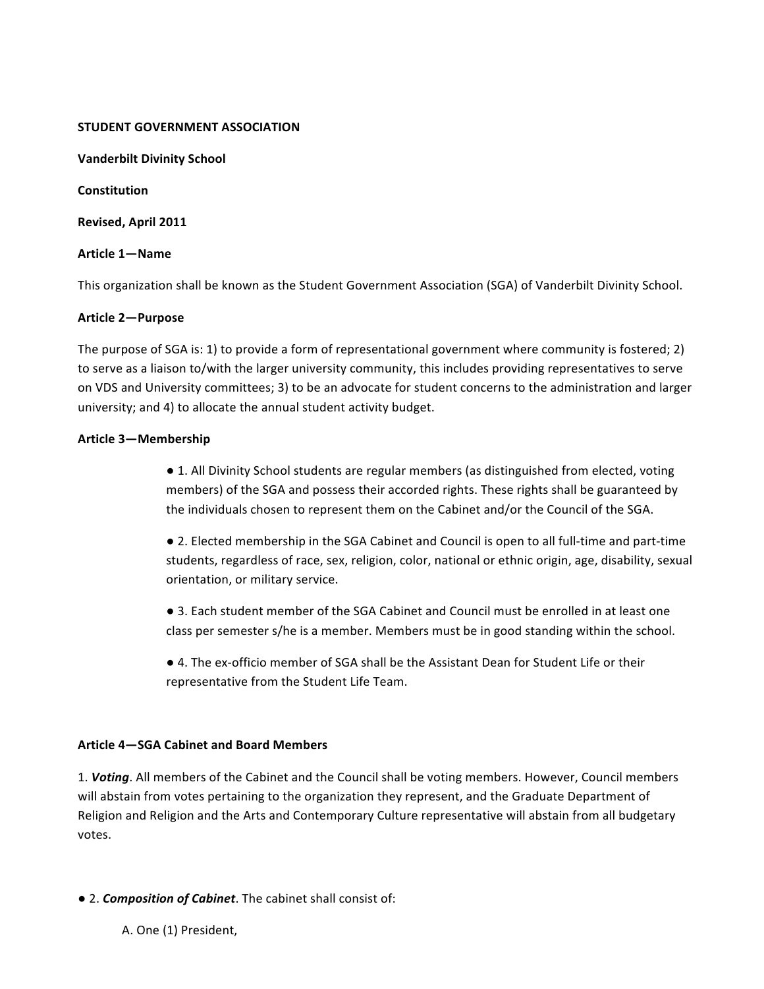#### **STUDENT GOVERNMENT ASSOCIATION**

**Vanderbilt Divinity School** 

**Constitution** 

**Revised, April 2011** 

### **Article 1—Name**

This organization shall be known as the Student Government Association (SGA) of Vanderbilt Divinity School.

### **Article 2—Purpose**

The purpose of SGA is: 1) to provide a form of representational government where community is fostered; 2) to serve as a liaison to/with the larger university community, this includes providing representatives to serve on VDS and University committees; 3) to be an advocate for student concerns to the administration and larger university; and 4) to allocate the annual student activity budget.

### **Article 3—Membership**

• 1. All Divinity School students are regular members (as distinguished from elected, voting members) of the SGA and possess their accorded rights. These rights shall be guaranteed by the individuals chosen to represent them on the Cabinet and/or the Council of the SGA.

• 2. Elected membership in the SGA Cabinet and Council is open to all full-time and part-time students, regardless of race, sex, religion, color, national or ethnic origin, age, disability, sexual orientation, or military service.

● 3. Each student member of the SGA Cabinet and Council must be enrolled in at least one class per semester s/he is a member. Members must be in good standing within the school.

● 4. The ex-officio member of SGA shall be the Assistant Dean for Student Life or their representative from the Student Life Team.

# **Article 4–SGA Cabinet and Board Members**

1. Voting. All members of the Cabinet and the Council shall be voting members. However, Council members will abstain from votes pertaining to the organization they represent, and the Graduate Department of Religion and Religion and the Arts and Contemporary Culture representative will abstain from all budgetary votes. 

 $\bullet$  2. *Composition of Cabinet*. The cabinet shall consist of:

A. One (1) President,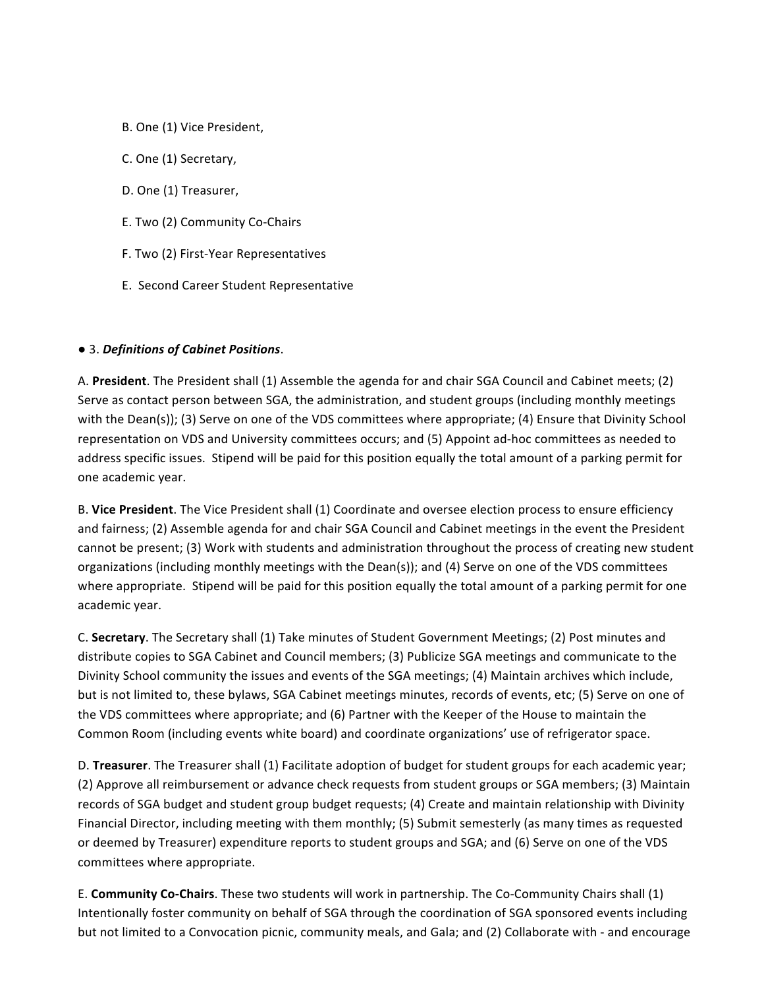- B. One (1) Vice President,
- C. One (1) Secretary,
- D. One (1) Treasurer,
- E. Two (2) Community Co-Chairs
- F. Two (2) First-Year Representatives
- E. Second Career Student Representative

### ● 3. *Definitions of Cabinet Positions*.

A. President. The President shall (1) Assemble the agenda for and chair SGA Council and Cabinet meets; (2) Serve as contact person between SGA, the administration, and student groups (including monthly meetings with the Dean(s)); (3) Serve on one of the VDS committees where appropriate; (4) Ensure that Divinity School representation on VDS and University committees occurs; and (5) Appoint ad-hoc committees as needed to address specific issues. Stipend will be paid for this position equally the total amount of a parking permit for one academic year.

B. Vice President. The Vice President shall (1) Coordinate and oversee election process to ensure efficiency and fairness; (2) Assemble agenda for and chair SGA Council and Cabinet meetings in the event the President cannot be present; (3) Work with students and administration throughout the process of creating new student organizations (including monthly meetings with the Dean(s)); and (4) Serve on one of the VDS committees where appropriate. Stipend will be paid for this position equally the total amount of a parking permit for one academic year.

C. Secretary. The Secretary shall (1) Take minutes of Student Government Meetings; (2) Post minutes and distribute copies to SGA Cabinet and Council members; (3) Publicize SGA meetings and communicate to the Divinity School community the issues and events of the SGA meetings; (4) Maintain archives which include, but is not limited to, these bylaws, SGA Cabinet meetings minutes, records of events, etc; (5) Serve on one of the VDS committees where appropriate; and (6) Partner with the Keeper of the House to maintain the Common Room (including events white board) and coordinate organizations' use of refrigerator space.

D. Treasurer. The Treasurer shall (1) Facilitate adoption of budget for student groups for each academic year; (2) Approve all reimbursement or advance check requests from student groups or SGA members; (3) Maintain records of SGA budget and student group budget requests; (4) Create and maintain relationship with Divinity Financial Director, including meeting with them monthly; (5) Submit semesterly (as many times as requested or deemed by Treasurer) expenditure reports to student groups and SGA; and (6) Serve on one of the VDS committees where appropriate.

E. **Community Co-Chairs**. These two students will work in partnership. The Co-Community Chairs shall (1) Intentionally foster community on behalf of SGA through the coordination of SGA sponsored events including but not limited to a Convocation picnic, community meals, and Gala; and (2) Collaborate with - and encourage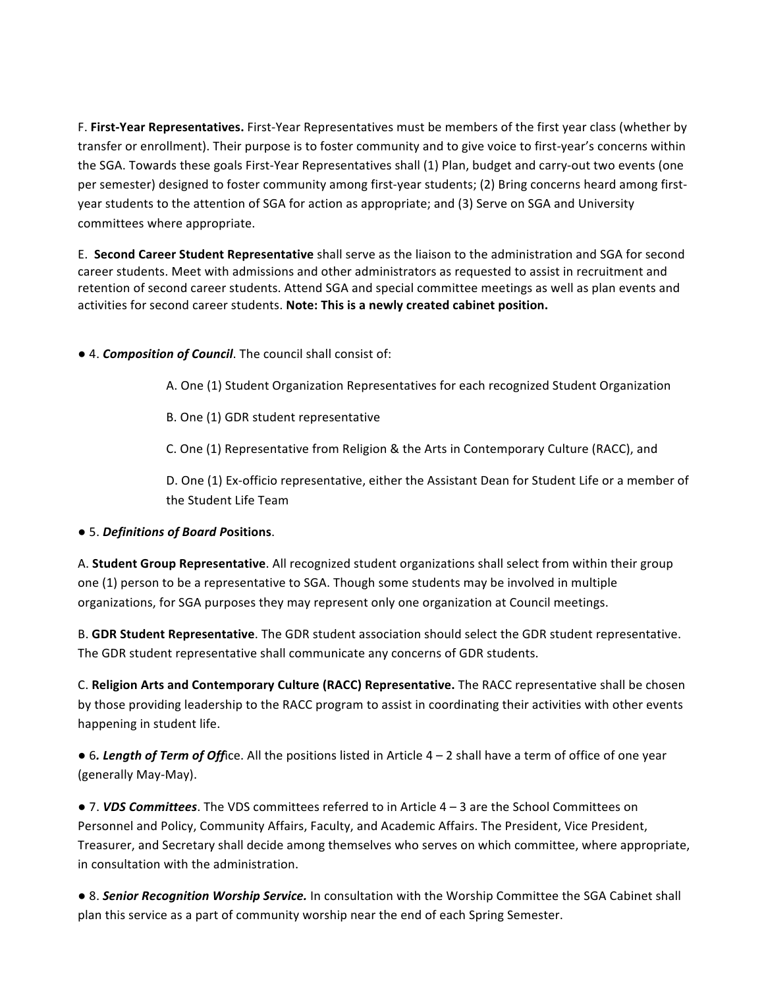F. First-Year Representatives. First-Year Representatives must be members of the first year class (whether by transfer or enrollment). Their purpose is to foster community and to give voice to first-year's concerns within the SGA. Towards these goals First-Year Representatives shall (1) Plan, budget and carry-out two events (one per semester) designed to foster community among first-year students; (2) Bring concerns heard among firstyear students to the attention of SGA for action as appropriate; and (3) Serve on SGA and University committees where appropriate.

E. **Second Career Student Representative** shall serve as the liaison to the administration and SGA for second career students. Meet with admissions and other administrators as requested to assist in recruitment and retention of second career students. Attend SGA and special committee meetings as well as plan events and activities for second career students. Note: This is a newly created cabinet position.

 $\bullet$  4. **Composition of Council**. The council shall consist of:

A. One (1) Student Organization Representatives for each recognized Student Organization

B. One (1) GDR student representative

C. One (1) Representative from Religion & the Arts in Contemporary Culture (RACC), and

D. One (1) Ex-officio representative, either the Assistant Dean for Student Life or a member of the Student Life Team

# ● 5. *Definitions of Board P***ositions**.

A. **Student Group Representative**. All recognized student organizations shall select from within their group one (1) person to be a representative to SGA. Though some students may be involved in multiple organizations, for SGA purposes they may represent only one organization at Council meetings.

B. **GDR Student Representative**. The GDR student association should select the GDR student representative. The GDR student representative shall communicate any concerns of GDR students.

C. Religion Arts and Contemporary Culture (RACC) Representative. The RACC representative shall be chosen by those providing leadership to the RACC program to assist in coordinating their activities with other events happening in student life.

• 6. Length of Term of Office. All the positions listed in Article 4 – 2 shall have a term of office of one year (generally May-May).

● 7. **VDS Committees**. The VDS committees referred to in Article 4 – 3 are the School Committees on Personnel and Policy, Community Affairs, Faculty, and Academic Affairs. The President, Vice President, Treasurer, and Secretary shall decide among themselves who serves on which committee, where appropriate, in consultation with the administration.

● 8. **Senior Recognition Worship Service.** In consultation with the Worship Committee the SGA Cabinet shall plan this service as a part of community worship near the end of each Spring Semester.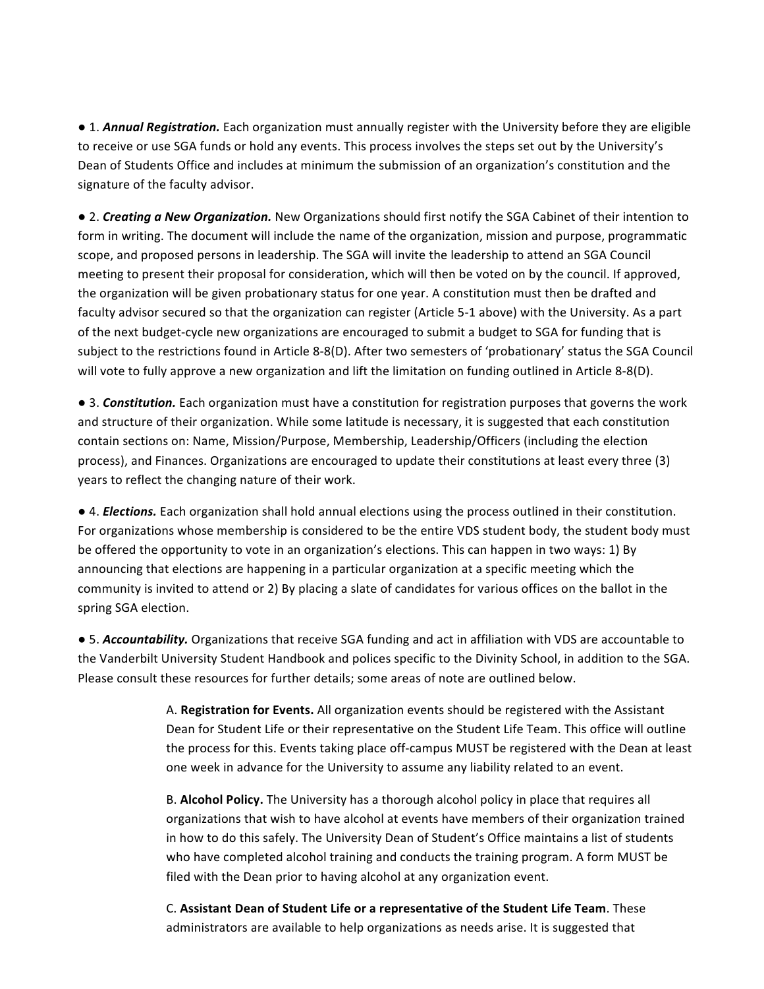• 1. *Annual Registration*. Each organization must annually register with the University before they are eligible to receive or use SGA funds or hold any events. This process involves the steps set out by the University's Dean of Students Office and includes at minimum the submission of an organization's constitution and the signature of the faculty advisor.

• 2. *Creating a New Organization.* New Organizations should first notify the SGA Cabinet of their intention to form in writing. The document will include the name of the organization, mission and purpose, programmatic scope, and proposed persons in leadership. The SGA will invite the leadership to attend an SGA Council meeting to present their proposal for consideration, which will then be voted on by the council. If approved, the organization will be given probationary status for one year. A constitution must then be drafted and faculty advisor secured so that the organization can register (Article 5-1 above) with the University. As a part of the next budget-cycle new organizations are encouraged to submit a budget to SGA for funding that is subject to the restrictions found in Article 8-8(D). After two semesters of 'probationary' status the SGA Council will vote to fully approve a new organization and lift the limitation on funding outlined in Article 8-8(D).

● 3. **Constitution.** Each organization must have a constitution for registration purposes that governs the work and structure of their organization. While some latitude is necessary, it is suggested that each constitution contain sections on: Name, Mission/Purpose, Membership, Leadership/Officers (including the election process), and Finances. Organizations are encouraged to update their constitutions at least every three (3) years to reflect the changing nature of their work.

● 4. *Elections*. Each organization shall hold annual elections using the process outlined in their constitution. For organizations whose membership is considered to be the entire VDS student body, the student body must be offered the opportunity to vote in an organization's elections. This can happen in two ways: 1) By announcing that elections are happening in a particular organization at a specific meeting which the community is invited to attend or 2) By placing a slate of candidates for various offices on the ballot in the spring SGA election.

• 5. *Accountability*. Organizations that receive SGA funding and act in affiliation with VDS are accountable to the Vanderbilt University Student Handbook and polices specific to the Divinity School, in addition to the SGA. Please consult these resources for further details; some areas of note are outlined below.

> A. Registration for Events. All organization events should be registered with the Assistant Dean for Student Life or their representative on the Student Life Team. This office will outline the process for this. Events taking place off-campus MUST be registered with the Dean at least one week in advance for the University to assume any liability related to an event.

B. **Alcohol Policy.** The University has a thorough alcohol policy in place that requires all organizations that wish to have alcohol at events have members of their organization trained in how to do this safely. The University Dean of Student's Office maintains a list of students who have completed alcohol training and conducts the training program. A form MUST be filed with the Dean prior to having alcohol at any organization event.

C. Assistant Dean of Student Life or a representative of the Student Life Team. These administrators are available to help organizations as needs arise. It is suggested that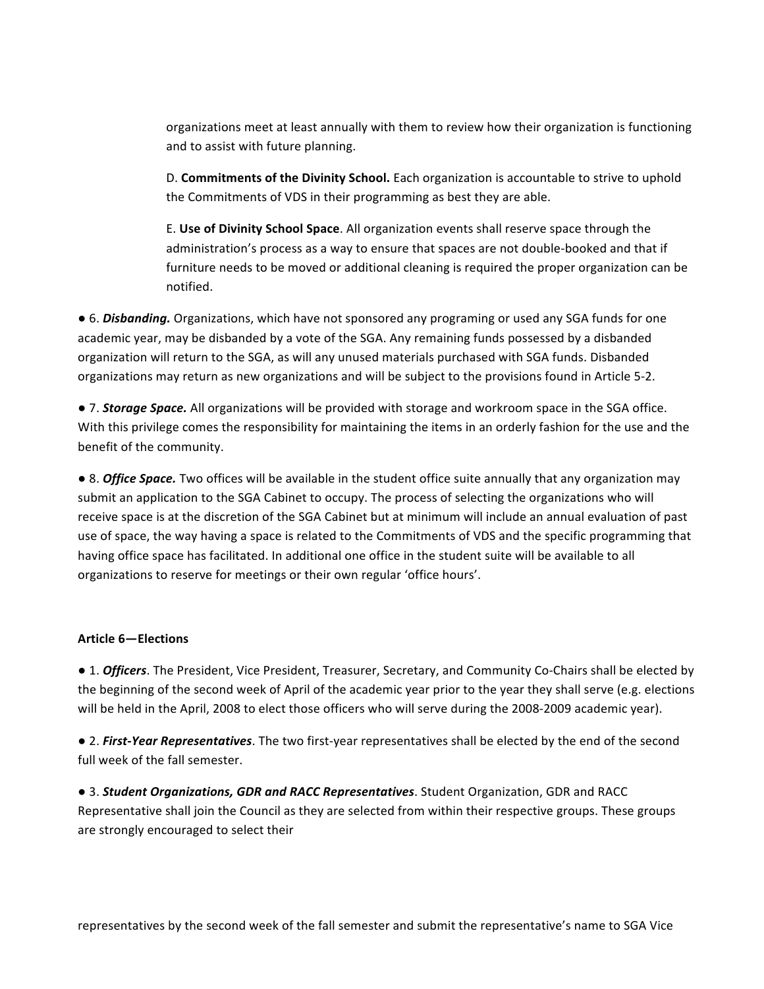organizations meet at least annually with them to review how their organization is functioning and to assist with future planning.

D. **Commitments of the Divinity School.** Each organization is accountable to strive to uphold the Commitments of VDS in their programming as best they are able.

E. Use of Divinity School Space. All organization events shall reserve space through the administration's process as a way to ensure that spaces are not double-booked and that if furniture needs to be moved or additional cleaning is required the proper organization can be notified. 

● 6. *Disbanding.* Organizations, which have not sponsored any programing or used any SGA funds for one academic year, may be disbanded by a vote of the SGA. Any remaining funds possessed by a disbanded organization will return to the SGA, as will any unused materials purchased with SGA funds. Disbanded organizations may return as new organizations and will be subject to the provisions found in Article 5-2.

• 7. **Storage Space.** All organizations will be provided with storage and workroom space in the SGA office. With this privilege comes the responsibility for maintaining the items in an orderly fashion for the use and the benefit of the community.

● 8. **Office Space.** Two offices will be available in the student office suite annually that any organization may submit an application to the SGA Cabinet to occupy. The process of selecting the organizations who will receive space is at the discretion of the SGA Cabinet but at minimum will include an annual evaluation of past use of space, the way having a space is related to the Commitments of VDS and the specific programming that having office space has facilitated. In additional one office in the student suite will be available to all organizations to reserve for meetings or their own regular 'office hours'.

# Article **6**-Elections

• 1. *Officers*. The President, Vice President, Treasurer, Secretary, and Community Co-Chairs shall be elected by the beginning of the second week of April of the academic year prior to the year they shall serve (e.g. elections will be held in the April, 2008 to elect those officers who will serve during the 2008-2009 academic year).

• 2. *First-Year Representatives*. The two first-year representatives shall be elected by the end of the second full week of the fall semester.

● 3. *Student Organizations, GDR and RACC Representatives*. Student Organization, GDR and RACC Representative shall join the Council as they are selected from within their respective groups. These groups are strongly encouraged to select their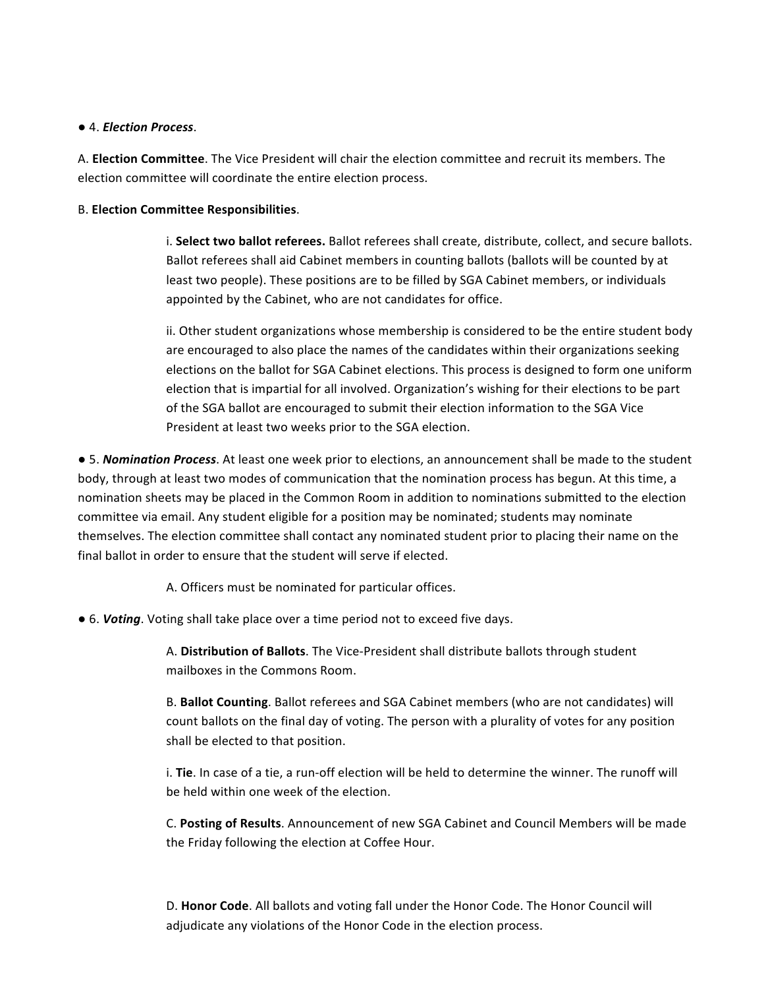### ● 4. *Election Process*.

A. **Election Committee**. The Vice President will chair the election committee and recruit its members. The election committee will coordinate the entire election process.

### B. **Election Committee Responsibilities**.

i. Select two ballot referees. Ballot referees shall create, distribute, collect, and secure ballots. Ballot referees shall aid Cabinet members in counting ballots (ballots will be counted by at least two people). These positions are to be filled by SGA Cabinet members, or individuals appointed by the Cabinet, who are not candidates for office.

ii. Other student organizations whose membership is considered to be the entire student body are encouraged to also place the names of the candidates within their organizations seeking elections on the ballot for SGA Cabinet elections. This process is designed to form one uniform election that is impartial for all involved. Organization's wishing for their elections to be part of the SGA ballot are encouraged to submit their election information to the SGA Vice President at least two weeks prior to the SGA election.

• 5. *Nomination Process*. At least one week prior to elections, an announcement shall be made to the student body, through at least two modes of communication that the nomination process has begun. At this time, a nomination sheets may be placed in the Common Room in addition to nominations submitted to the election committee via email. Any student eligible for a position may be nominated; students may nominate themselves. The election committee shall contact any nominated student prior to placing their name on the final ballot in order to ensure that the student will serve if elected.

A. Officers must be nominated for particular offices.

● 6. *Voting*. Voting shall take place over a time period not to exceed five days.

A. Distribution of Ballots. The Vice-President shall distribute ballots through student mailboxes in the Commons Room.

B. **Ballot Counting**. Ballot referees and SGA Cabinet members (who are not candidates) will count ballots on the final day of voting. The person with a plurality of votes for any position shall be elected to that position.

i. Tie. In case of a tie, a run-off election will be held to determine the winner. The runoff will be held within one week of the election.

C. Posting of Results. Announcement of new SGA Cabinet and Council Members will be made the Friday following the election at Coffee Hour.

D. Honor Code. All ballots and voting fall under the Honor Code. The Honor Council will adjudicate any violations of the Honor Code in the election process.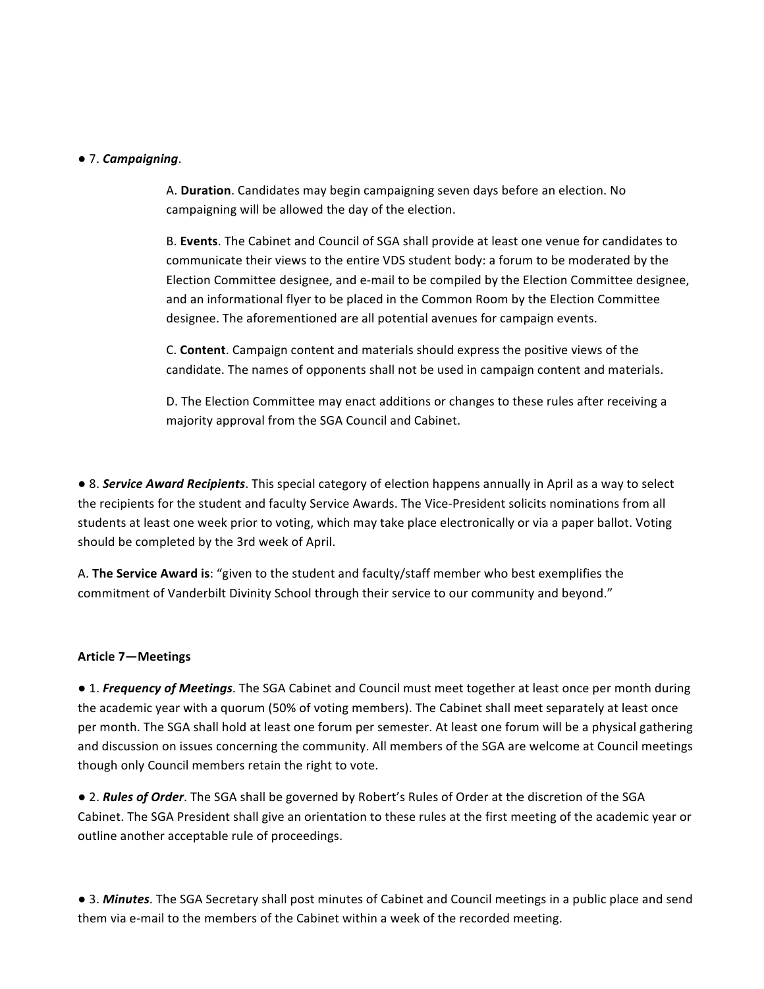#### ● 7. *Campaigning*.

A. **Duration**. Candidates may begin campaigning seven days before an election. No campaigning will be allowed the day of the election.

B. Events. The Cabinet and Council of SGA shall provide at least one venue for candidates to communicate their views to the entire VDS student body: a forum to be moderated by the Election Committee designee, and e-mail to be compiled by the Election Committee designee, and an informational flyer to be placed in the Common Room by the Election Committee designee. The aforementioned are all potential avenues for campaign events.

C. **Content**. Campaign content and materials should express the positive views of the candidate. The names of opponents shall not be used in campaign content and materials.

D. The Election Committee may enact additions or changes to these rules after receiving a majority approval from the SGA Council and Cabinet.

• 8. **Service Award Recipients**. This special category of election happens annually in April as a way to select the recipients for the student and faculty Service Awards. The Vice-President solicits nominations from all students at least one week prior to voting, which may take place electronically or via a paper ballot. Voting should be completed by the 3rd week of April.

A. **The Service Award is:** "given to the student and faculty/staff member who best exemplifies the commitment of Vanderbilt Divinity School through their service to our community and beyond."

#### **Article 7—Meetings**

• 1. *Frequency of Meetings*. The SGA Cabinet and Council must meet together at least once per month during the academic year with a quorum (50% of voting members). The Cabinet shall meet separately at least once per month. The SGA shall hold at least one forum per semester. At least one forum will be a physical gathering and discussion on issues concerning the community. All members of the SGA are welcome at Council meetings though only Council members retain the right to vote.

• 2. *Rules of Order*. The SGA shall be governed by Robert's Rules of Order at the discretion of the SGA Cabinet. The SGA President shall give an orientation to these rules at the first meeting of the academic year or outline another acceptable rule of proceedings.

● 3. *Minutes*. The SGA Secretary shall post minutes of Cabinet and Council meetings in a public place and send them via e-mail to the members of the Cabinet within a week of the recorded meeting.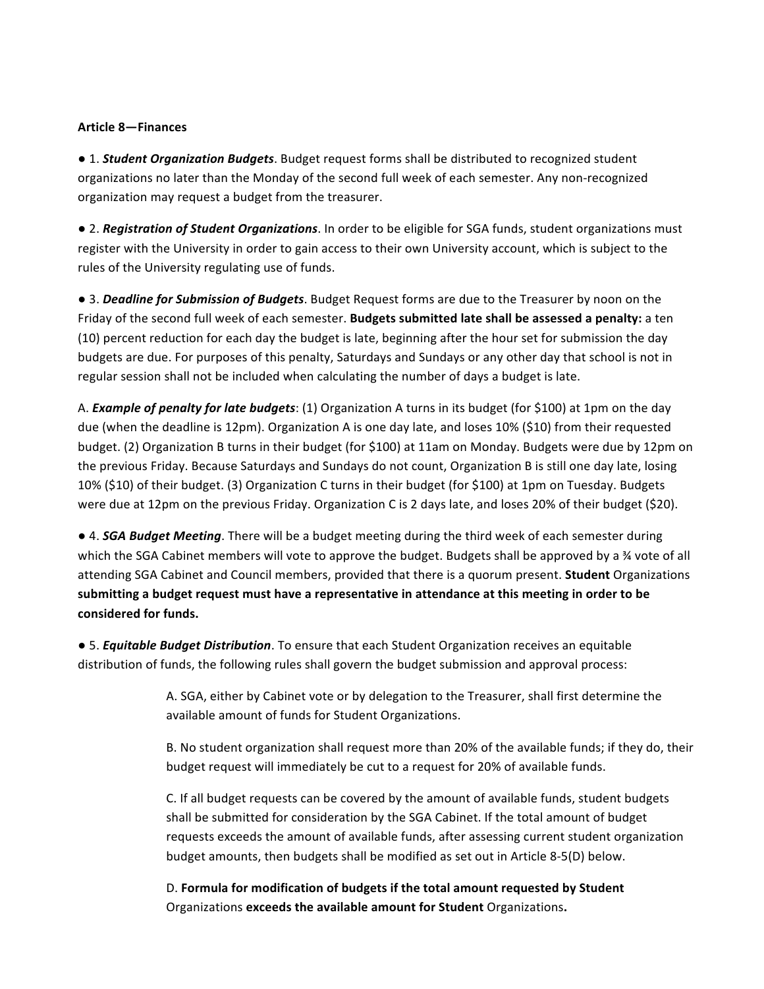#### **Article 8—Finances**

 $\bullet$  1. **Student Organization Budgets**. Budget request forms shall be distributed to recognized student organizations no later than the Monday of the second full week of each semester. Any non-recognized organization may request a budget from the treasurer.

• 2. *Registration of Student Organizations*. In order to be eligible for SGA funds, student organizations must register with the University in order to gain access to their own University account, which is subject to the rules of the University regulating use of funds.

• 3. *Deadline for Submission of Budgets*. Budget Request forms are due to the Treasurer by noon on the Friday of the second full week of each semester. Budgets submitted late shall be assessed a penalty: a ten (10) percent reduction for each day the budget is late, beginning after the hour set for submission the day budgets are due. For purposes of this penalty, Saturdays and Sundays or any other day that school is not in regular session shall not be included when calculating the number of days a budget is late.

A. *Example of penalty for late budgets*: (1) Organization A turns in its budget (for \$100) at 1pm on the day due (when the deadline is 12pm). Organization A is one day late, and loses 10% (\$10) from their requested budget. (2) Organization B turns in their budget (for \$100) at 11am on Monday. Budgets were due by 12pm on the previous Friday. Because Saturdays and Sundays do not count, Organization B is still one day late, losing 10% (\$10) of their budget. (3) Organization C turns in their budget (for \$100) at 1pm on Tuesday. Budgets were due at 12pm on the previous Friday. Organization C is 2 days late, and loses 20% of their budget  $(520)$ .

• 4. *SGA Budget Meeting*. There will be a budget meeting during the third week of each semester during which the SGA Cabinet members will vote to approve the budget. Budgets shall be approved by a 34 vote of all attending SGA Cabinet and Council members, provided that there is a quorum present. **Student** Organizations submitting a budget request must have a representative in attendance at this meeting in order to be considered for funds.

● 5. *Equitable Budget Distribution*. To ensure that each Student Organization receives an equitable distribution of funds, the following rules shall govern the budget submission and approval process:

> A. SGA, either by Cabinet vote or by delegation to the Treasurer, shall first determine the available amount of funds for Student Organizations.

B. No student organization shall request more than 20% of the available funds; if they do, their budget request will immediately be cut to a request for 20% of available funds.

C. If all budget requests can be covered by the amount of available funds, student budgets shall be submitted for consideration by the SGA Cabinet. If the total amount of budget requests exceeds the amount of available funds, after assessing current student organization budget amounts, then budgets shall be modified as set out in Article 8-5(D) below.

D. Formula for modification of budgets if the total amount requested by Student Organizations exceeds the available amount for Student Organizations.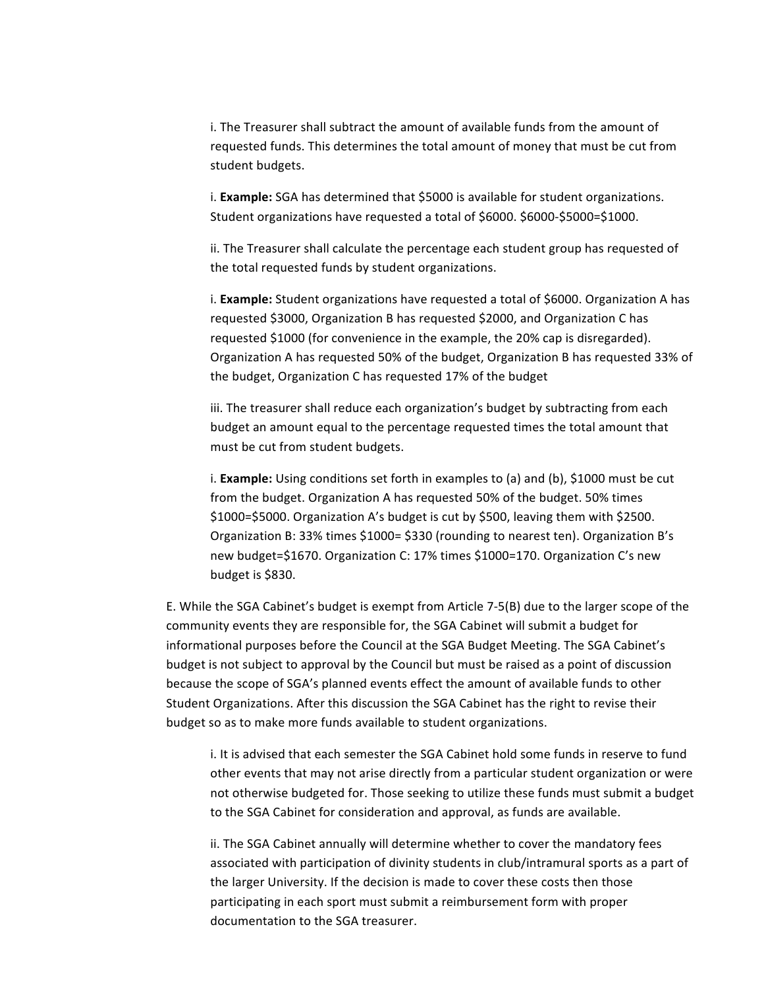i. The Treasurer shall subtract the amount of available funds from the amount of requested funds. This determines the total amount of money that must be cut from student budgets.

i. **Example:** SGA has determined that \$5000 is available for student organizations. Student organizations have requested a total of \$6000. \$6000-\$5000=\$1000.

ii. The Treasurer shall calculate the percentage each student group has requested of the total requested funds by student organizations.

i. **Example:** Student organizations have requested a total of \$6000. Organization A has requested \$3000, Organization B has requested \$2000, and Organization C has requested \$1000 (for convenience in the example, the 20% cap is disregarded). Organization A has requested 50% of the budget, Organization B has requested 33% of the budget, Organization C has requested 17% of the budget

iii. The treasurer shall reduce each organization's budget by subtracting from each budget an amount equal to the percentage requested times the total amount that must be cut from student budgets.

i. **Example:** Using conditions set forth in examples to (a) and (b), \$1000 must be cut from the budget. Organization A has requested 50% of the budget. 50% times \$1000=\$5000. Organization A's budget is cut by \$500, leaving them with \$2500. Organization B: 33% times \$1000= \$330 (rounding to nearest ten). Organization B's new budget=\$1670. Organization C: 17% times \$1000=170. Organization C's new budget is \$830.

E. While the SGA Cabinet's budget is exempt from Article  $7-5(B)$  due to the larger scope of the community events they are responsible for, the SGA Cabinet will submit a budget for informational purposes before the Council at the SGA Budget Meeting. The SGA Cabinet's budget is not subject to approval by the Council but must be raised as a point of discussion because the scope of SGA's planned events effect the amount of available funds to other Student Organizations. After this discussion the SGA Cabinet has the right to revise their budget so as to make more funds available to student organizations.

i. It is advised that each semester the SGA Cabinet hold some funds in reserve to fund other events that may not arise directly from a particular student organization or were not otherwise budgeted for. Those seeking to utilize these funds must submit a budget to the SGA Cabinet for consideration and approval, as funds are available.

ii. The SGA Cabinet annually will determine whether to cover the mandatory fees associated with participation of divinity students in club/intramural sports as a part of the larger University. If the decision is made to cover these costs then those participating in each sport must submit a reimbursement form with proper documentation to the SGA treasurer.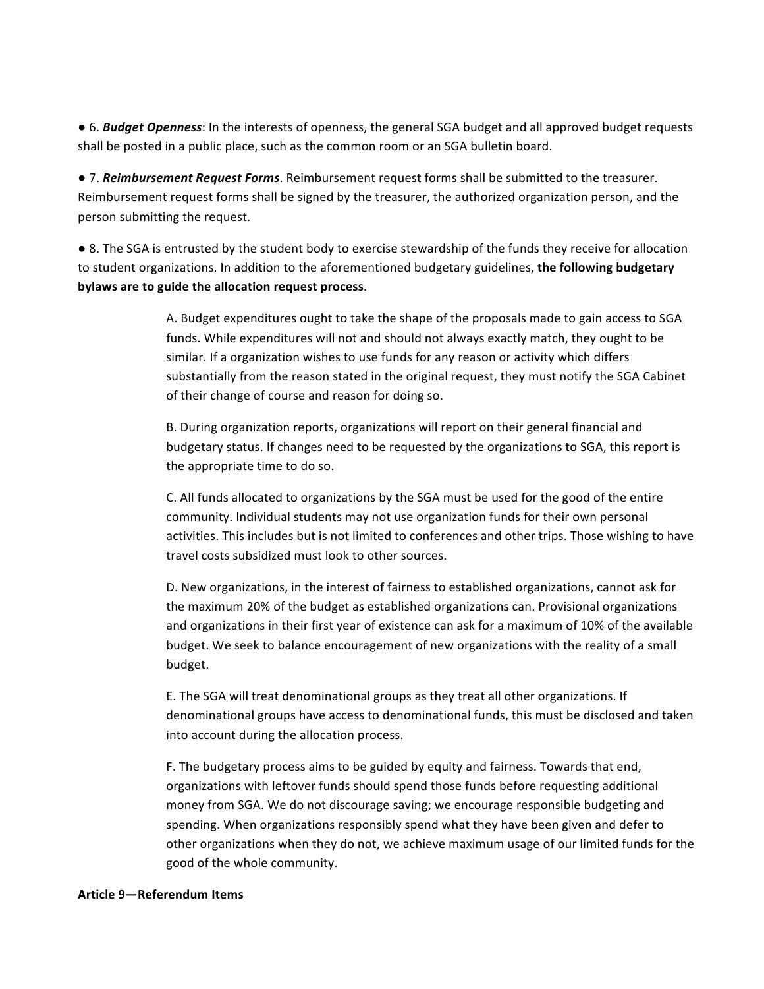• 6. *Budget Openness*: In the interests of openness, the general SGA budget and all approved budget requests shall be posted in a public place, such as the common room or an SGA bulletin board.

• 7. *Reimbursement Request Forms*. Reimbursement request forms shall be submitted to the treasurer. Reimbursement request forms shall be signed by the treasurer, the authorized organization person, and the person submitting the request.

• 8. The SGA is entrusted by the student body to exercise stewardship of the funds they receive for allocation to student organizations. In addition to the aforementioned budgetary guidelines, the following budgetary bylaws are to guide the allocation request process.

> A. Budget expenditures ought to take the shape of the proposals made to gain access to SGA funds. While expenditures will not and should not always exactly match, they ought to be similar. If a organization wishes to use funds for any reason or activity which differs substantially from the reason stated in the original request, they must notify the SGA Cabinet of their change of course and reason for doing so.

B. During organization reports, organizations will report on their general financial and budgetary status. If changes need to be requested by the organizations to SGA, this report is the appropriate time to do so.

C. All funds allocated to organizations by the SGA must be used for the good of the entire community. Individual students may not use organization funds for their own personal activities. This includes but is not limited to conferences and other trips. Those wishing to have travel costs subsidized must look to other sources.

D. New organizations, in the interest of fairness to established organizations, cannot ask for the maximum 20% of the budget as established organizations can. Provisional organizations and organizations in their first year of existence can ask for a maximum of 10% of the available budget. We seek to balance encouragement of new organizations with the reality of a small budget. 

E. The SGA will treat denominational groups as they treat all other organizations. If denominational groups have access to denominational funds, this must be disclosed and taken into account during the allocation process.

F. The budgetary process aims to be guided by equity and fairness. Towards that end, organizations with leftover funds should spend those funds before requesting additional money from SGA. We do not discourage saving; we encourage responsible budgeting and spending. When organizations responsibly spend what they have been given and defer to other organizations when they do not, we achieve maximum usage of our limited funds for the good of the whole community.

#### **Article 9—Referendum Items**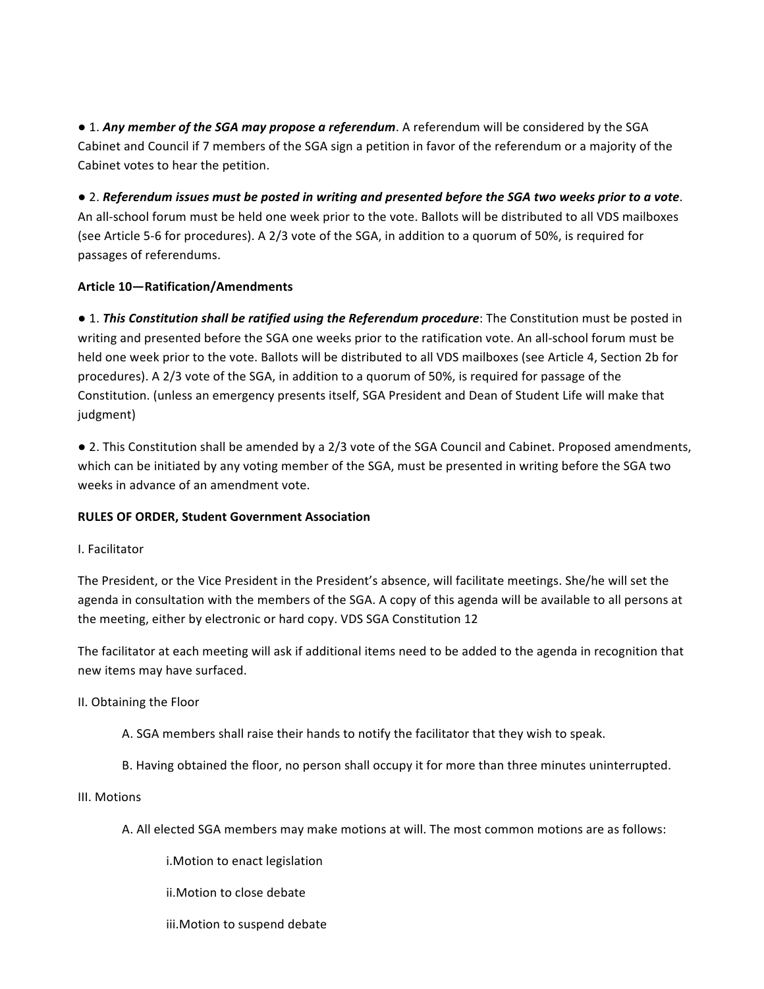• 1. *Any member of the SGA may propose a referendum*. A referendum will be considered by the SGA Cabinet and Council if 7 members of the SGA sign a petition in favor of the referendum or a majority of the Cabinet votes to hear the petition.

● 2. Referendum issues must be posted in writing and presented before the SGA two weeks prior to a vote. An all-school forum must be held one week prior to the vote. Ballots will be distributed to all VDS mailboxes (see Article 5-6 for procedures). A 2/3 vote of the SGA, in addition to a quorum of 50%, is required for passages of referendums.

# **Article 10-Ratification/Amendments**

• 1. *This Constitution shall be ratified using the Referendum procedure*: The Constitution must be posted in writing and presented before the SGA one weeks prior to the ratification vote. An all-school forum must be held one week prior to the vote. Ballots will be distributed to all VDS mailboxes (see Article 4, Section 2b for procedures). A 2/3 vote of the SGA, in addition to a quorum of 50%, is required for passage of the Constitution. (unless an emergency presents itself, SGA President and Dean of Student Life will make that judgment) 

• 2. This Constitution shall be amended by a 2/3 vote of the SGA Council and Cabinet. Proposed amendments, which can be initiated by any voting member of the SGA, must be presented in writing before the SGA two weeks in advance of an amendment vote.

# **RULES OF ORDER, Student Government Association**

# I. Facilitator

The President, or the Vice President in the President's absence, will facilitate meetings. She/he will set the agenda in consultation with the members of the SGA. A copy of this agenda will be available to all persons at the meeting, either by electronic or hard copy. VDS SGA Constitution 12

The facilitator at each meeting will ask if additional items need to be added to the agenda in recognition that new items may have surfaced.

# II. Obtaining the Floor

- A. SGA members shall raise their hands to notify the facilitator that they wish to speak.
- B. Having obtained the floor, no person shall occupy it for more than three minutes uninterrupted.

# III. Motions

- A. All elected SGA members may make motions at will. The most common motions are as follows:
	- i. Motion to enact legislation
	- ii. Motion to close debate
	- iii. Motion to suspend debate